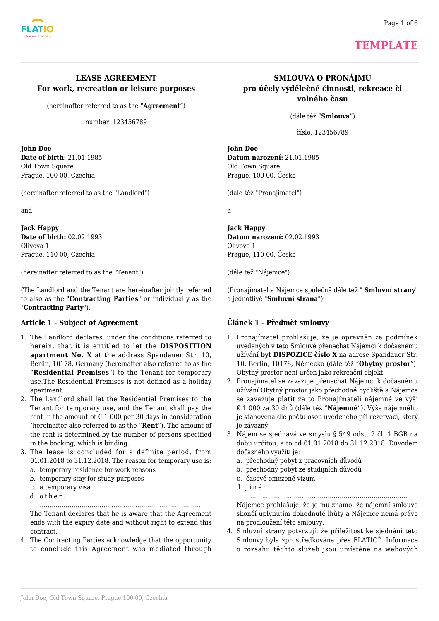



# **TEMPLATE**

## **LEASE AGREEMENT For work, recreation or leisure purposes**

(hereinafter referred to as the "**Agreement**")

number: 123456789

**John Doe Date of birth:** 21.01.1985 Old Town Square Prague, 100 00, Czechia

(hereinafter referred to as the "Landlord")

and

**Jack Happy Date of birth:** 02.02.1993 Olivova 1 Prague, 110 00, Czechia

(hereinafter referred to as the "Tenant")

(The Landlord and the Tenant are hereinafter jointly referred to also as the "**Contracting Parties**" or individually as the "**Contracting Party**").

#### **Article 1 - Subject of Agreement**

- 1. The Landlord declares, under the conditions referred to herein, that it is entitled to let the **DISPOSITION apartment No. X** at the address Spandauer Str. 10, Berlin, 10178, Germany (hereinafter also referred to as the "**Residential Premises**") to the Tenant for temporary use.The Residential Premises is not defined as a holiday apartment.
- 2. The Landlord shall let the Residential Premises to the Tenant for temporary use, and the Tenant shall pay the rent in the amount of  $\epsilon$  1 000 per 30 days in consideration (hereinafter also referred to as the "**Rent**"). The amount of the rent is determined by the number of persons specified in the booking, which is binding.
- 3. The lease is concluded for a definite period, from 01.01.2018 to 31.12.2018. The reason for temporary use is:
	- a. temporary residence for work reasons b. temporary stay for study purposes
	- c. a temporary visa
	- d. other:

………………………………………………………………………

The Tenant declares that he is aware that the Agreement ends with the expiry date and without right to extend this contract.

4. The Contracting Parties acknowledge that the opportunity to conclude this Agreement was mediated through

## **SMLOUVA O PRONÁJMU pro účely výdělečné činnosti, rekreace či volného času**

(dále též "**Smlouva**")

číslo: 123456789

**John Doe Datum narození:** 21.01.1985 Old Town Square Prague, 100 00, Česko

(dále též "Pronajímatel")

a

**Jack Happy Datum narození:** 02.02.1993 Olivova 1 Prague, 110 00, Česko

(dále též "Nájemce")

(Pronajímatel a Nájemce společně dále též " **Smluvní strany**" a jednotlivě "**Smluvní strana**").

#### **Článek 1 - Předmět smlouvy**

- 1. Pronajímatel prohlašuje, že je oprávněn za podmínek uvedených v této Smlouvě přenechat Nájemci k dočasnému užívání **byt DISPOZICE číslo X** na adrese Spandauer Str. 10, Berlin, 10178, Německo (dále též "**Obytný prostor**"). Obytný prostor není určen jako rekreační objekt.
- 2. Pronajímatel se zavazuje přenechat Nájemci k dočasnému užívání Obytný prostor jako přechodné bydliště a Nájemce se zavazuje platit za to Pronajímateli nájemné ve výši € 1 000 za 30 dnů (dále též "**Nájemné**"). Výše nájemného je stanovena dle počtu osob uvedeného při rezervaci, který je závazný.
- 3. Nájem se sjednává ve smyslu § 549 odst. 2 čl. 1 BGB na dobu určitou, a to od 01.01.2018 do 31.12.2018. Důvodem dočasného využití je:
	- a. přechodný pobyt z pracovních důvodů
	- b. přechodný pobyt ze studijních důvodů
	- c. časově omezené vízum
	- d. jiné:

……………………………………………………………………… Nájemce prohlašuje, že je mu známo, že nájemní smlouva skončí uplynutím dohodnuté lhůty a Nájemce nemá právo na prodloužení této smlouvy.

4. Smluvní strany potvrzují, že příležitost ke sjednání této Smlouvy byla zprostředkována přes FLATIO® . Informace o rozsahu těchto služeb jsou umístěné na webových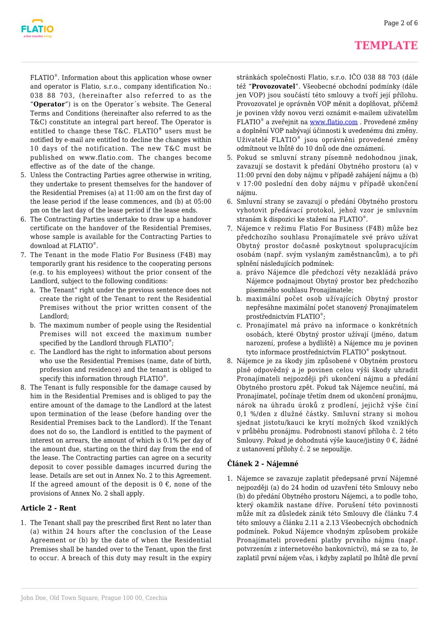

## **TEMPLATE**

FLATIO® . Information about this application whose owner and operator is Flatio, s.r.o., company identification No.: 038 88 703, (hereinafter also referred to as the "**Operator**") is on the Operator´s website. The General Terms and Conditions (hereinafter also referred to as the T&C) constitute an integral part hereof. The Operator is entitled to change these T&C. FLATIO*®* users must be notified by e-mail are entitled to decline the changes within 10 days of the notification. The new T&C must be published on www.flatio.com. The changes become effective as of the date of the change.

- 5. Unless the Contracting Parties agree otherwise in writing, they undertake to present themselves for the handover of the Residential Premises (a) at 11:00 am on the first day of the lease period if the lease commences, and (b) at 05:00 pm on the last day of the lease period if the lease ends.
- 6. The Contracting Parties undertake to draw up a handover certificate on the handover of the Residential Premises, whose sample is available for the Contracting Parties to download at FLATIO® .
- 7. The Tenant in the mode Flatio For Business (F4B) may temporarily grant his residence to the cooperating persons (e.g. to his employees) without the prior consent of the Landlord, subject to the following conditions:
	- a. The Tenant" right under the previous sentence does not create the right of the Tenant to rent the Residential Premises without the prior written consent of the Landlord;
	- b. The maximum number of people using the Residential Premises will not exceed the maximum number specified by the Landlord through FLATIO<sup>®</sup>;
	- c. The Landlord has the right to information about persons who use the Residential Premises (name, date of birth, profession and residence) and the tenant is obliged to specify this information through FLATIO® .
- 8. The Tenant is fully responsible for the damage caused by him in the Residential Premises and is obliged to pay the entire amount of the damage to the Landlord at the latest upon termination of the lease (before handing over the Residential Premises back to the Landlord). If the Tenant does not do so, the Landlord is entitled to the payment of interest on arrears, the amount of which is 0.1% per day of the amount due, starting on the third day from the end of the lease. The Contracting parties can agree on a security deposit to cover possible damages incurred during the lease. Details are set out in Annex No. 2 to this Agreement. If the agreed amount of the deposit is  $0 \in$ , none of the provisions of Annex No. 2 shall apply.

#### **Article 2 - Rent**

1. The Tenant shall pay the prescribed first Rent no later than (a) within 24 hours after the conclusion of the Lease Agreement or (b) by the date of when the Residential Premises shall be handed over to the Tenant, upon the first to occur. A breach of this duty may result in the expiry

stránkách společnosti Flatio, s.r.o. IČO 038 88 703 (dále též "**Provozovatel**". Všeobecné obchodní podmínky (dále jen VOP) jsou součástí této smlouvy a tvoří její přílohu. Provozovatel je oprávněn VOP měnit a doplňovat, přičemž je povinen vždy novou verzi oznámit e-mailem uživatelům FLATIO<sup>®</sup> a zveřejnit na [www.flatio.com](https://app.flatio.com/”https//www.flatio.com”) . Provedené změny a doplnění VOP nabývají účinnosti k uvedenému dni změny. Uživatelé FLATIO® jsou oprávněni provedené změny odmítnout ve lhůtě do 10 dnů ode dne oznámení.

- 5. Pokud se smluvní strany písemně nedohodnou jinak, zavazují se dostavit k předání Obytného prostoru (a) v 11:00 první den doby nájmu v případě zahájení nájmu a (b) v 17:00 poslední den doby nájmu v případě ukončení nájmu.
- 6. Smluvní strany se zavazují o předání Obytného prostoru vyhotovit předávací protokol, jehož vzor je smluvním stranám k dispozici ke stažení na FLATIO® .
- 7. Nájemce v režimu Flatio For Business (F4B) může bez předchozího souhlasu Pronajímatele své právo užívat Obytný prostor dočasně poskytnout spolupracujícím osobám (např. svým vyslaným zaměstnancům), a to při splnění následujících podmínek:
	- a. právo Nájemce dle předchozí věty nezakládá právo Nájemce podnajmout Obytný prostor bez předchozího písemného souhlasu Pronajímatele;
	- b. maximální počet osob užívajících Obytný prostor nepřesáhne maximální počet stanovený Pronajímatelem prostřednictvím FLATIO® ;
	- c. Pronajímatel má právo na informace o konkrétních osobách, které Obytný prostor užívají (jméno, datum narození, profese a bydliště) a Nájemce mu je povinen tyto informace prostřednictvím FLATIO® poskytnout.
- 8. Nájemce je za škody jím způsobené v Obytném prostoru plně odpovědný a je povinen celou výši škody uhradit Pronajímateli nejpozději při ukončení nájmu a předání Obytného prostoru zpět. Pokud tak Nájemce neučiní, má Pronajímatel, počínaje třetím dnem od ukončení pronájmu, nárok na úhradu úroků z prodlení, jejichž výše činí 0,1 %/den z dlužné částky. Smluvní strany si mohou sjednat jistotu/kauci ke krytí možných škod vzniklých v průběhu pronájmu. Podrobnosti stanoví příloha č. 2 této Smlouvy. Pokud je dohodnutá výše kauce/jistiny 0 €, žádné z ustanovení přílohy č. 2 se nepoužije.

#### **Článek 2 - Nájemné**

1. Nájemce se zavazuje zaplatit předepsané první Nájemné nejpozději (a) do 24 hodin od uzavření této Smlouvy nebo (b) do předání Obytného prostoru Nájemci, a to podle toho, který okamžik nastane dříve. Porušení této povinnosti může mít za důsledek zánik této Smlouvy dle článku 7.4 této smlouvy a článku 2.11 a 2.13 Všeobecných obchodních podmínek. Pokud Nájemce vhodným způsobem prokáže Pronajímateli provedení platby prvního nájmu (např. potvrzením z internetového bankovnictví), má se za to, že zaplatil první nájem včas, i kdyby zaplatil po lhůtě dle první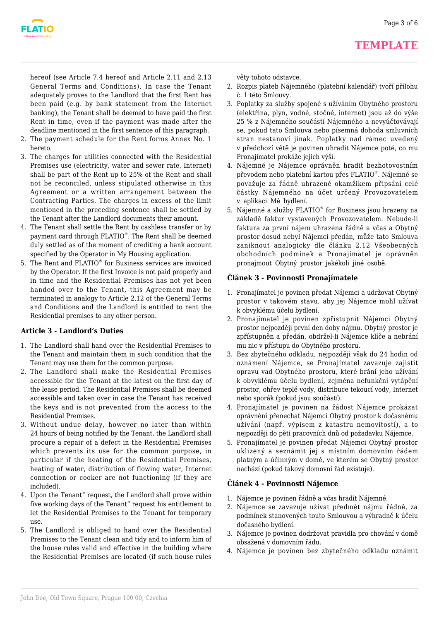

hereof (see Article 7.4 hereof and Article 2.11 and 2.13 General Terms and Conditions). In case the Tenant adequately proves to the Landlord that the first Rent has been paid (e.g. by bank statement from the Internet banking), the Tenant shall be deemed to have paid the first Rent in time, even if the payment was made after the deadline mentioned in the first sentence of this paragraph.

- 2. The payment schedule for the Rent forms Annex No. 1 hereto.
- 3. The charges for utilities connected with the Residential Premises use (electricity, water and sewer rate, Internet) shall be part of the Rent up to 25% of the Rent and shall not be reconciled, unless stipulated otherwise in this Agreement or a written arrangement between the Contracting Parties. The charges in excess of the limit mentioned in the preceding sentence shall be settled by the Tenant after the Landlord documents their amount.
- 4. The Tenant shall settle the Rent by cashless transfer or by payment card through FLATIO® . The Rent shall be deemed duly settled as of the moment of crediting a bank account specified by the Operator in My Housing application.
- 5. The Rent and FLATIO<sup>®</sup> for Business services are invoiced by the Operator. If the first Invoice is not paid properly and in time and the Residential Premises has not yet been handed over to the Tenant, this Agreement may be terminated in analogy to Article 2.12 of the General Terms and Conditions and the Landlord is entitled to rent the Residential premises to any other person.

## **Article 3 - Landlord's Duties**

- 1. The Landlord shall hand over the Residential Premises to the Tenant and maintain them in such condition that the Tenant may use them for the common purpose.
- 2. The Landlord shall make the Residential Premises accessible for the Tenant at the latest on the first day of the lease period. The Residential Premises shall be deemed accessible and taken over in case the Tenant has received the keys and is not prevented from the access to the Residential Premises.
- 3. Without undue delay, however no later than within 24 hours of being notified by the Tenant, the Landlord shall procure a repair of a defect in the Residential Premises which prevents its use for the common purpose, in particular if the heating of the Residential Premises, heating of water, distribution of flowing water, Internet connection or cooker are not functioning (if they are included).
- 4. Upon the Tenant" request, the Landlord shall prove within five working days of the Tenant" request his entitlement to let the Residential Premises to the Tenant for temporary use.
- 5. The Landlord is obliged to hand over the Residential Premises to the Tenant clean and tidy and to inform him of the house rules valid and effective in the building where the Residential Premises are located (if such house rules

věty tohoto odstavce.

- 2. Rozpis plateb Nájemného (platební kalendář) tvoří přílohu č. 1 této Smlouvy.
- 3. Poplatky za služby spojené s užíváním Obytného prostoru (elektřina, plyn, vodné, stočné, internet) jsou až do výše 25 % z Nájemného součástí Nájemného a nevyúčtovávají se, pokud tato Smlouva nebo písemná dohoda smluvních stran nestanoví jinak. Poplatky nad rámec uvedený v předchozí větě je povinen uhradit Nájemce poté, co mu Pronajímatel prokáže jejich výši.
- 4. Nájemné je Nájemce oprávněn hradit bezhotovostním převodem nebo platební kartou přes FLATIO® . Nájemné se považuje za řádně uhrazené okamžikem připsání celé částky Nájemného na účet určený Provozovatelem v aplikaci Mé bydlení.
- 5. Nájemné a služby FLATIO® for Business jsou hrazeny na základě faktur vystavených Provozovatelem. Nebude-li faktura za první nájem uhrazena řádně a včas a Obytný prostor dosud nebyl Nájemci předán, může tato Smlouva zaniknout analogicky dle článku 2.12 Všeobecných obchodních podmínek a Pronajímatel je oprávněn pronajmout Obytný prostor jakékoli jiné osobě.

## **Článek 3 - Povinnosti Pronajímatele**

- 1. Pronajímatel je povinen předat Nájemci a udržovat Obytný prostor v takovém stavu, aby jej Nájemce mohl užívat k obvyklému účelu bydlení.
- 2. Pronajímatel je povinen zpřístupnit Nájemci Obytný prostor nejpozději první den doby nájmu. Obytný prostor je zpřístupněn a předán, obdržel-li Nájemce klíče a nebrání mu nic v přístupu do Obytného prostoru.
- 3. Bez zbytečného odkladu, nejpozději však do 24 hodin od oznámení Nájemce, se Pronajímatel zavazuje zajistit opravu vad Obytného prostoru, které brání jeho užívání k obvyklému účelu bydlení, zejména nefunkční vytápění prostor, ohřev teplé vody, distribuce tekoucí vody, Internet nebo sporák (pokud jsou součástí).
- 4. Pronajímatel je povinen na žádost Nájemce prokázat oprávnění přenechat Nájemci Obytný prostor k dočasnému užívání (např. výpisem z katastru nemovitostí), a to nejpozději do pěti pracovních dnů od požadavku Nájemce.
- 5. Pronajímatel je povinen předat Nájemci Obytný prostor uklizený a seznámit jej s místním domovním řádem platným a účinným v domě, ve kterém se Obytný prostor nachází (pokud takový domovní řád existuje).

## **Článek 4 - Povinnosti Nájemce**

- 1. Nájemce je povinen řádně a včas hradit Nájemné.
- 2. Nájemce se zavazuje užívat předmět nájmu řádně, za podmínek stanovených touto Smlouvou a výhradně k účelu dočasného bydlení.
- 3. Nájemce je povinen dodržovat pravidla pro chování v domě obsažená v domovním řádu.
- 4. Nájemce je povinen bez zbytečného odkladu oznámit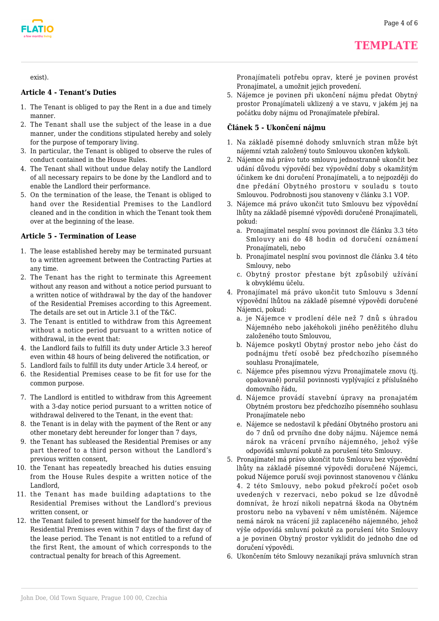**TEMPLATE**



exist).

#### **Article 4 - Tenant's Duties**

- 1. The Tenant is obliged to pay the Rent in a due and timely manner.
- 2. The Tenant shall use the subject of the lease in a due manner, under the conditions stipulated hereby and solely for the purpose of temporary living.
- 3. In particular, the Tenant is obliged to observe the rules of conduct contained in the House Rules.
- 4. The Tenant shall without undue delay notify the Landlord of all necessary repairs to be done by the Landlord and to enable the Landlord their performance.
- 5. On the termination of the lease, the Tenant is obliged to hand over the Residential Premises to the Landlord cleaned and in the condition in which the Tenant took them over at the beginning of the lease.

#### **Article 5 - Termination of Lease**

- 1. The lease established hereby may be terminated pursuant to a written agreement between the Contracting Parties at any time.
- 2. The Tenant has the right to terminate this Agreement without any reason and without a notice period pursuant to a written notice of withdrawal by the day of the handover of the Residential Premises according to this Agreement. The details are set out in Article 3.1 of the T&C.
- 3. The Tenant is entitled to withdraw from this Agreement without a notice period pursuant to a written notice of withdrawal, in the event that:
- 4. the Landlord fails to fulfill its duty under Article 3.3 hereof even within 48 hours of being delivered the notification, or
- 5. Landlord fails to fulfill its duty under Article 3.4 hereof, or
- 6. the Residential Premises cease to be fit for use for the common purpose.
- 7. The Landlord is entitled to withdraw from this Agreement with a 3-day notice period pursuant to a written notice of withdrawal delivered to the Tenant, in the event that:
- 8. the Tenant is in delay with the payment of the Rent or any other monetary debt hereunder for longer than 7 days,
- 9. the Tenant has subleased the Residential Premises or any part thereof to a third person without the Landlord's previous written consent,
- 10. the Tenant has repeatedly breached his duties ensuing from the House Rules despite a written notice of the Landlord,
- 11. the Tenant has made building adaptations to the Residential Premises without the Landlord's previous written consent, or
- 12. the Tenant failed to present himself for the handover of the Residential Premises even within 7 days of the first day of the lease period. The Tenant is not entitled to a refund of the first Rent, the amount of which corresponds to the contractual penalty for breach of this Agreement.

Pronajímateli potřebu oprav, které je povinen provést Pronajímatel, a umožnit jejich provedení.

5. Nájemce je povinen při ukončení nájmu předat Obytný prostor Pronajímateli uklizený a ve stavu, v jakém jej na počátku doby nájmu od Pronajímatele přebíral.

## **Článek 5 - Ukončení nájmu**

- 1. Na základě písemné dohody smluvních stran může být nájemní vztah založený touto Smlouvou ukončen kdykoli.
- 2. Nájemce má právo tuto smlouvu jednostranně ukončit bez udání důvodu výpovědí bez výpovědní doby s okamžitým účinkem ke dni doručení Pronajímateli, a to nejpozději do dne předání Obytného prostoru v souladu s touto Smlouvou. Podrobnosti jsou stanoveny v článku 3.1 VOP.
- 3. Nájemce má právo ukončit tuto Smlouvu bez výpovědní lhůty na základě písemné výpovědi doručené Pronajímateli, pokud:
	- a. Pronajímatel nesplní svou povinnost dle článku 3.3 této Smlouvy ani do 48 hodin od doručení oznámení Pronajímateli, nebo
	- b. Pronajímatel nesplní svou povinnost dle článku 3.4 této Smlouvy, nebo
	- c. Obytný prostor přestane být způsobilý užívání k obvyklému účelu.
- 4. Pronajímatel má právo ukončit tuto Smlouvu s 3denní výpovědní lhůtou na základě písemné výpovědi doručené Nájemci, pokud:
	- a. je Nájemce v prodlení déle než 7 dnů s úhradou Nájemného nebo jakéhokoli jiného peněžitého dluhu založeného touto Smlouvou,
	- b. Nájemce poskytl Obytný prostor nebo jeho část do podnájmu třetí osobě bez předchozího písemného souhlasu Pronajímatele,
	- c. Nájemce přes písemnou výzvu Pronajímatele znovu (tj. opakovaně) porušil povinnosti vyplývající z příslušného domovního řádu,
	- d. Nájemce provádí stavební úpravy na pronajatém Obytném prostoru bez předchozího písemného souhlasu Pronajímatele nebo
	- e. Nájemce se nedostavil k předání Obytného prostoru ani do 7 dnů od prvního dne doby nájmu. Nájemce nemá nárok na vrácení prvního nájemného, jehož výše odpovídá smluvní pokutě za porušení této Smlouvy.
- 5. Pronajímatel má právo ukončit tuto Smlouvu bez výpovědní lhůty na základě písemné výpovědi doručené Nájemci, pokud Nájemce poruší svoji povinnost stanovenou v článku 4. 2 této Smlouvy, nebo pokud překročí počet osob uvedených v rezervaci, nebo pokud se lze důvodně domnívat, že hrozí nikoli nepatrná škoda na Obytném prostoru nebo na vybavení v něm umístěném. Nájemce nemá nárok na vrácení již zaplaceného nájemného, jehož výše odpovídá smluvní pokutě za porušení této Smlouvy a je povinen Obytný prostor vyklidit do jednoho dne od doručení výpovědi.
- 6. Ukončením této Smlouvy nezanikají práva smluvních stran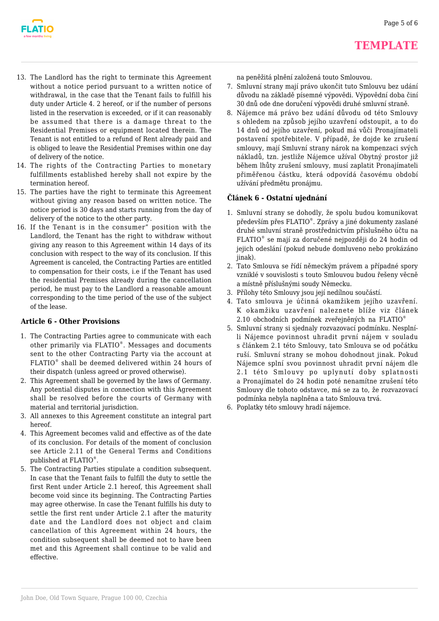

- 13. The Landlord has the right to terminate this Agreement without a notice period pursuant to a written notice of withdrawal, in the case that the Tenant fails to fulfill his duty under Article 4. 2 hereof, or if the number of persons listed in the reservation is exceeded, or if it can reasonably be assumed that there is a damage threat to the Residential Premises or equipment located therein. The Tenant is not entitled to a refund of Rent already paid and is obliged to leave the Residential Premises within one day of delivery of the notice.
- 14. The rights of the Contracting Parties to monetary fulfillments established hereby shall not expire by the termination hereof.
- 15. The parties have the right to terminate this Agreement without giving any reason based on written notice. The notice period is 30 days and starts running from the day of delivery of the notice to the other party.
- 16. If the Tenant is in the consumer" position with the Landlord, the Tenant has the right to withdraw without giving any reason to this Agreement within 14 days of its conclusion with respect to the way of its conclusion. If this Agreement is canceled, the Contracting Parties are entitled to compensation for their costs, i.e if the Tenant has used the residential Premises already during the cancellation period, he must pay to the Landlord a reasonable amount corresponding to the time period of the use of the subject of the lease.

## **Article 6 - Other Provisions**

- 1. The Contracting Parties agree to communicate with each other primarily via FLATIO® . Messages and documents sent to the other Contracting Party via the account at FLATIO® shall be deemed delivered within 24 hours of their dispatch (unless agreed or proved otherwise).
- 2. This Agreement shall be governed by the laws of Germany. Any potential disputes in connection with this Agreement shall be resolved before the courts of Germany with material and territorial jurisdiction.
- 3. All annexes to this Agreement constitute an integral part hereof.
- 4. This Agreement becomes valid and effective as of the date of its conclusion. For details of the moment of conclusion see Article 2.11 of the General Terms and Conditions published at FLATIO® .
- 5. The Contracting Parties stipulate a condition subsequent. In case that the Tenant fails to fulfill the duty to settle the first Rent under Article 2.1 hereof, this Agreement shall become void since its beginning. The Contracting Parties may agree otherwise. In case the Tenant fulfills his duty to settle the first rent under Article 2.1 after the maturity date and the Landlord does not object and claim cancellation of this Agreement within 24 hours, the condition subsequent shall be deemed not to have been met and this Agreement shall continue to be valid and effective.

na peněžitá plnění založená touto Smlouvou.

- 7. Smluvní strany mají právo ukončit tuto Smlouvu bez udání důvodu na základě písemné výpovědi. Výpovědní doba činí 30 dnů ode dne doručení výpovědi druhé smluvní straně.
- 8. Nájemce má právo bez udání důvodu od této Smlouvy s ohledem na způsob jejího uzavření odstoupit, a to do 14 dnů od jejího uzavření, pokud má vůči Pronajímateli postavení spotřebitele. V případě, že dojde ke zrušení smlouvy, mají Smluvní strany nárok na kompenzaci svých nákladů, tzn. jestliže Nájemce užíval Obytný prostor již během lhůty zrušení smlouvy, musí zaplatit Pronajímateli přiměřenou částku, která odpovídá časovému období užívání předmětu pronájmu.

## **Článek 6 - Ostatní ujednání**

- 1. Smluvní strany se dohodly, že spolu budou komunikovat především přes FLATIO® . Zprávy a jiné dokumenty zaslané druhé smluvní straně prostřednictvím příslušného účtu na FLATIO® se mají za doručené nejpozději do 24 hodin od jejich odeslání (pokud nebude domluveno nebo prokázáno jinak).
- 2. Tato Smlouva se řídí německým právem a případné spory vzniklé v souvislosti s touto Smlouvou budou řešeny věcně a místně příslušnými soudy Německu.
- 3. Přílohy této Smlouvy jsou její nedílnou součástí.
- 4. Tato smlouva je účinná okamžikem jejího uzavření. K okamžiku uzavření naleznete blíže viz článek 2.10 obchodních podmínek zveřejněných na FLATIO®
- 5. Smluvní strany si sjednaly rozvazovací podmínku. Nesplníli Nájemce povinnost uhradit první nájem v souladu s článkem 2.1 této Smlouvy, tato Smlouva se od počátku ruší. Smluvní strany se mohou dohodnout jinak. Pokud Nájemce splní svou povinnost uhradit první nájem dle 2.1 této Smlouvy po uplynutí doby splatnosti a Pronajímatel do 24 hodin poté nenamítne zrušení této Smlouvy dle tohoto odstavce, má se za to, že rozvazovací podmínka nebyla naplněna a tato Smlouva trvá.
- 6. Poplatky této smlouvy hradí nájemce.